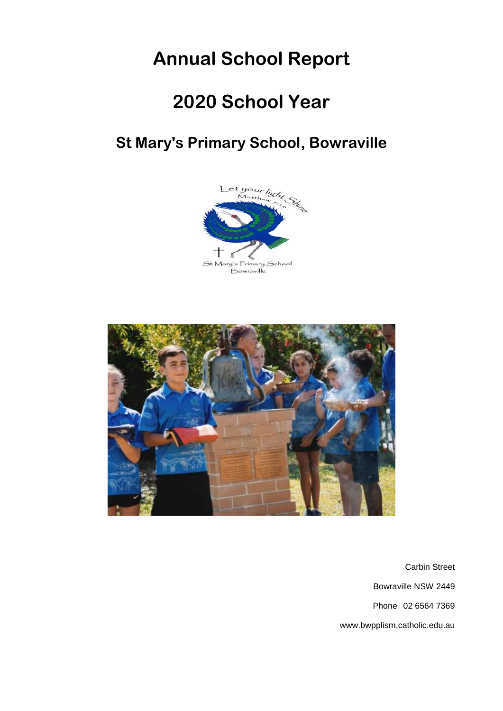# **Annual School Report**

# **2020 School Year**

# **St Mary's Primary School, Bowraville**





Carbin Street Bowraville NSW 2449 Phone 02 6564 7369 www.bwpplism.catholic.edu.au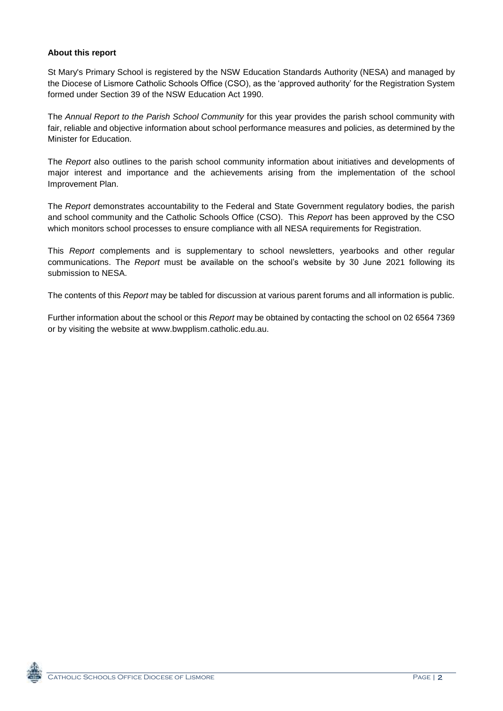# **About this report**

St Mary's Primary School is registered by the NSW Education Standards Authority (NESA) and managed by the Diocese of Lismore Catholic Schools Office (CSO), as the 'approved authority' for the Registration System formed under Section 39 of the NSW Education Act 1990.

The *Annual Report to the Parish School Community* for this year provides the parish school community with fair, reliable and objective information about school performance measures and policies, as determined by the Minister for Education.

The *Report* also outlines to the parish school community information about initiatives and developments of major interest and importance and the achievements arising from the implementation of the school Improvement Plan.

The *Report* demonstrates accountability to the Federal and State Government regulatory bodies, the parish and school community and the Catholic Schools Office (CSO). This *Report* has been approved by the CSO which monitors school processes to ensure compliance with all NESA requirements for Registration.

This *Report* complements and is supplementary to school newsletters, yearbooks and other regular communications. The *Report* must be available on the school's website by 30 June 2021 following its submission to NESA.

The contents of this *Report* may be tabled for discussion at various parent forums and all information is public.

Further information about the school or this *Report* may be obtained by contacting the school on 02 6564 7369 or by visiting the website at www.bwpplism.catholic.edu.au.

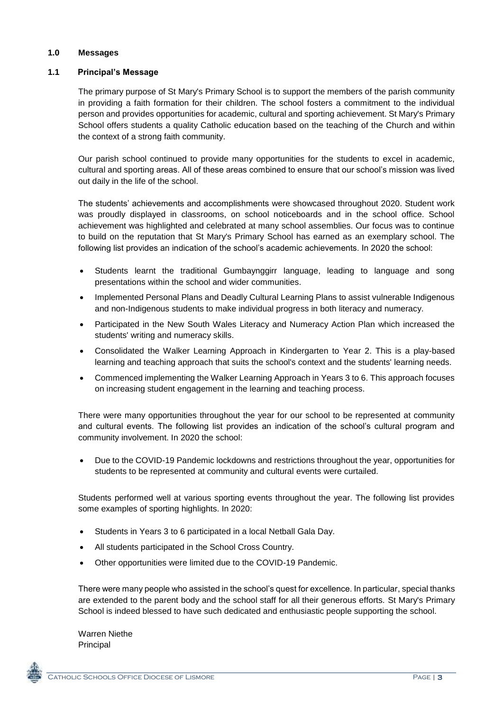### **1.0 Messages**

### **1.1 Principal's Message**

The primary purpose of St Mary's Primary School is to support the members of the parish community in providing a faith formation for their children. The school fosters a commitment to the individual person and provides opportunities for academic, cultural and sporting achievement. St Mary's Primary School offers students a quality Catholic education based on the teaching of the Church and within the context of a strong faith community.

Our parish school continued to provide many opportunities for the students to excel in academic, cultural and sporting areas. All of these areas combined to ensure that our school's mission was lived out daily in the life of the school.

The students' achievements and accomplishments were showcased throughout 2020. Student work was proudly displayed in classrooms, on school noticeboards and in the school office. School achievement was highlighted and celebrated at many school assemblies. Our focus was to continue to build on the reputation that St Mary's Primary School has earned as an exemplary school. The following list provides an indication of the school's academic achievements. In 2020 the school:

- Students learnt the traditional Gumbaynggirr language, leading to language and song presentations within the school and wider communities.
- Implemented Personal Plans and Deadly Cultural Learning Plans to assist vulnerable Indigenous and non-Indigenous students to make individual progress in both literacy and numeracy.
- Participated in the New South Wales Literacy and Numeracy Action Plan which increased the students' writing and numeracy skills.
- Consolidated the Walker Learning Approach in Kindergarten to Year 2. This is a play-based learning and teaching approach that suits the school's context and the students' learning needs.
- Commenced implementing the Walker Learning Approach in Years 3 to 6. This approach focuses on increasing student engagement in the learning and teaching process.

There were many opportunities throughout the year for our school to be represented at community and cultural events. The following list provides an indication of the school's cultural program and community involvement. In 2020 the school:

 Due to the COVID-19 Pandemic lockdowns and restrictions throughout the year, opportunities for students to be represented at community and cultural events were curtailed.

Students performed well at various sporting events throughout the year. The following list provides some examples of sporting highlights. In 2020:

- Students in Years 3 to 6 participated in a local Netball Gala Day.
- All students participated in the School Cross Country.
- Other opportunities were limited due to the COVID-19 Pandemic.

There were many people who assisted in the school's quest for excellence. In particular, special thanks are extended to the parent body and the school staff for all their generous efforts. St Mary's Primary School is indeed blessed to have such dedicated and enthusiastic people supporting the school.

Warren Niethe Principal

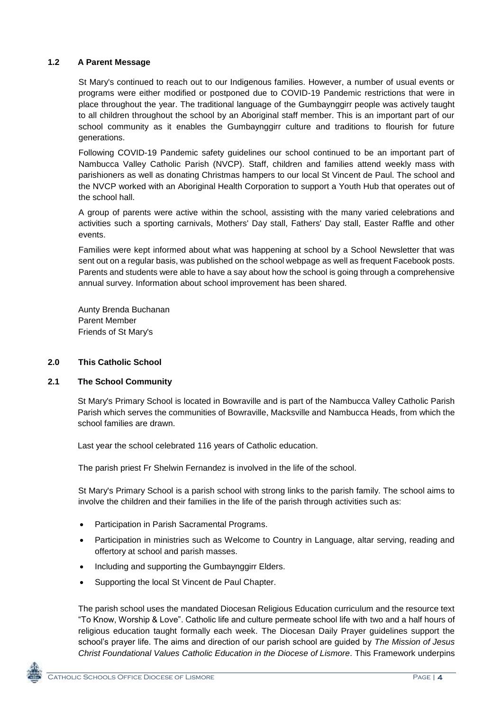# **1.2 A Parent Message**

St Mary's continued to reach out to our Indigenous families. However, a number of usual events or programs were either modified or postponed due to COVID-19 Pandemic restrictions that were in place throughout the year. The traditional language of the Gumbaynggirr people was actively taught to all children throughout the school by an Aboriginal staff member. This is an important part of our school community as it enables the Gumbaynggirr culture and traditions to flourish for future generations.

Following COVID-19 Pandemic safety guidelines our school continued to be an important part of Nambucca Valley Catholic Parish (NVCP). Staff, children and families attend weekly mass with parishioners as well as donating Christmas hampers to our local St Vincent de Paul. The school and the NVCP worked with an Aboriginal Health Corporation to support a Youth Hub that operates out of the school hall.

A group of parents were active within the school, assisting with the many varied celebrations and activities such a sporting carnivals, Mothers' Day stall, Fathers' Day stall, Easter Raffle and other events.

Families were kept informed about what was happening at school by a School Newsletter that was sent out on a regular basis, was published on the school webpage as well as frequent Facebook posts. Parents and students were able to have a say about how the school is going through a comprehensive annual survey. Information about school improvement has been shared.

Aunty Brenda Buchanan Parent Member Friends of St Mary's

### **2.0 This Catholic School**

### **2.1 The School Community**

St Mary's Primary School is located in Bowraville and is part of the Nambucca Valley Catholic Parish Parish which serves the communities of Bowraville, Macksville and Nambucca Heads, from which the school families are drawn.

Last year the school celebrated 116 years of Catholic education.

The parish priest Fr Shelwin Fernandez is involved in the life of the school.

St Mary's Primary School is a parish school with strong links to the parish family. The school aims to involve the children and their families in the life of the parish through activities such as:

- Participation in Parish Sacramental Programs.
- Participation in ministries such as Welcome to Country in Language, altar serving, reading and offertory at school and parish masses.
- Including and supporting the Gumbaynggirr Elders.
- Supporting the local St Vincent de Paul Chapter.

The parish school uses the mandated Diocesan Religious Education curriculum and the resource text "To Know, Worship & Love". Catholic life and culture permeate school life with two and a half hours of religious education taught formally each week. The Diocesan Daily Prayer guidelines support the school's prayer life. The aims and direction of our parish school are guided by *The Mission of Jesus Christ Foundational Values Catholic Education in the Diocese of Lismore.* This Framework underpins

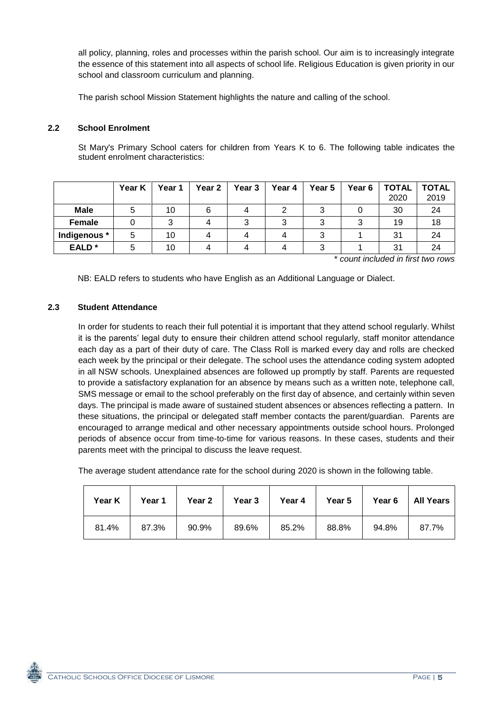all policy, planning, roles and processes within the parish school. Our aim is to increasingly integrate the essence of this statement into all aspects of school life. Religious Education is given priority in our school and classroom curriculum and planning.

The parish school Mission Statement highlights the nature and calling of the school.

# **2.2 School Enrolment**

St Mary's Primary School caters for children from Years K to 6. The following table indicates the student enrolment characteristics:

|                   | Year K | Year 1 | Year 2 $\parallel$ | Year 3 | Year 4 | Year 5 | Year 6 | <b>TOTAL</b><br>2020 | <b>TOTAL</b><br>2019 |
|-------------------|--------|--------|--------------------|--------|--------|--------|--------|----------------------|----------------------|
| <b>Male</b>       |        | 10     |                    |        |        | ົ      |        | 30                   | 24                   |
| Female            |        |        |                    |        |        | ົ      |        | 19                   | 18                   |
| Indigenous *      | 5      | 10     |                    |        |        | 3      |        | 31                   | 24                   |
| EALD <sup>*</sup> |        | 10     |                    |        |        | ≏      |        | 31                   | 24                   |

\* *count included in first two rows*

NB: EALD refers to students who have English as an Additional Language or Dialect.

### **2.3 Student Attendance**

In order for students to reach their full potential it is important that they attend school regularly. Whilst it is the parents' legal duty to ensure their children attend school regularly, staff monitor attendance each day as a part of their duty of care. The Class Roll is marked every day and rolls are checked each week by the principal or their delegate. The school uses the attendance coding system adopted in all NSW schools. Unexplained absences are followed up promptly by staff. Parents are requested to provide a satisfactory explanation for an absence by means such as a written note, telephone call, SMS message or email to the school preferably on the first day of absence, and certainly within seven days. The principal is made aware of sustained student absences or absences reflecting a pattern. In these situations, the principal or delegated staff member contacts the parent/guardian. Parents are encouraged to arrange medical and other necessary appointments outside school hours. Prolonged periods of absence occur from time-to-time for various reasons. In these cases, students and their parents meet with the principal to discuss the leave request.

The average student attendance rate for the school during 2020 is shown in the following table.

| Year K | Year 1 | Year 2 Year 3 |       | Year 4 | Year 5 |       | Year 6   All Years |
|--------|--------|---------------|-------|--------|--------|-------|--------------------|
| 81.4%  | 87.3%  | 90.9%         | 89.6% | 85.2%  | 88.8%  | 94.8% | 87.7%              |

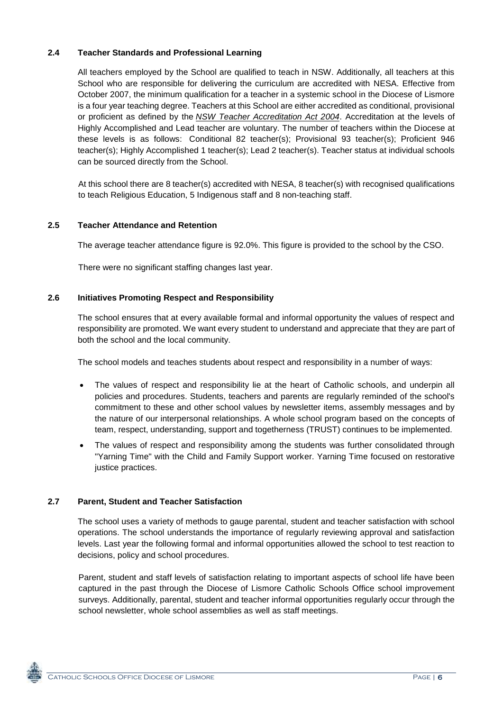# **2.4 Teacher Standards and Professional Learning**

All teachers employed by the School are qualified to teach in NSW. Additionally, all teachers at this School who are responsible for delivering the curriculum are accredited with NESA. Effective from October 2007, the minimum qualification for a teacher in a systemic school in the Diocese of Lismore is a four year teaching degree. Teachers at this School are either accredited as conditional, provisional or proficient as defined by the *[NSW Teacher Accreditation Act 2004](https://www.legislation.nsw.gov.au/#/view/act/2004/65/part4/div5)*. Accreditation at the levels of Highly Accomplished and Lead teacher are voluntary. The number of teachers within the Diocese at these levels is as follows: Conditional 82 teacher(s); Provisional 93 teacher(s); Proficient 946 teacher(s); Highly Accomplished 1 teacher(s); Lead 2 teacher(s). Teacher status at individual schools can be sourced directly from the School.

At this school there are 8 teacher(s) accredited with NESA, 8 teacher(s) with recognised qualifications to teach Religious Education, 5 Indigenous staff and 8 non-teaching staff.

### **2.5 Teacher Attendance and Retention**

The average teacher attendance figure is 92.0%. This figure is provided to the school by the CSO.

There were no significant staffing changes last year.

# **2.6 Initiatives Promoting Respect and Responsibility**

The school ensures that at every available formal and informal opportunity the values of respect and responsibility are promoted. We want every student to understand and appreciate that they are part of both the school and the local community.

The school models and teaches students about respect and responsibility in a number of ways:

- The values of respect and responsibility lie at the heart of Catholic schools, and underpin all policies and procedures. Students, teachers and parents are regularly reminded of the school's commitment to these and other school values by newsletter items, assembly messages and by the nature of our interpersonal relationships. A whole school program based on the concepts of team, respect, understanding, support and togetherness (TRUST) continues to be implemented.
- The values of respect and responsibility among the students was further consolidated through "Yarning Time" with the Child and Family Support worker. Yarning Time focused on restorative justice practices.

### **2.7 Parent, Student and Teacher Satisfaction**

The school uses a variety of methods to gauge parental, student and teacher satisfaction with school operations. The school understands the importance of regularly reviewing approval and satisfaction levels. Last year the following formal and informal opportunities allowed the school to test reaction to decisions, policy and school procedures.

Parent, student and staff levels of satisfaction relating to important aspects of school life have been captured in the past through the Diocese of Lismore Catholic Schools Office school improvement surveys. Additionally, parental, student and teacher informal opportunities regularly occur through the school newsletter, whole school assemblies as well as staff meetings.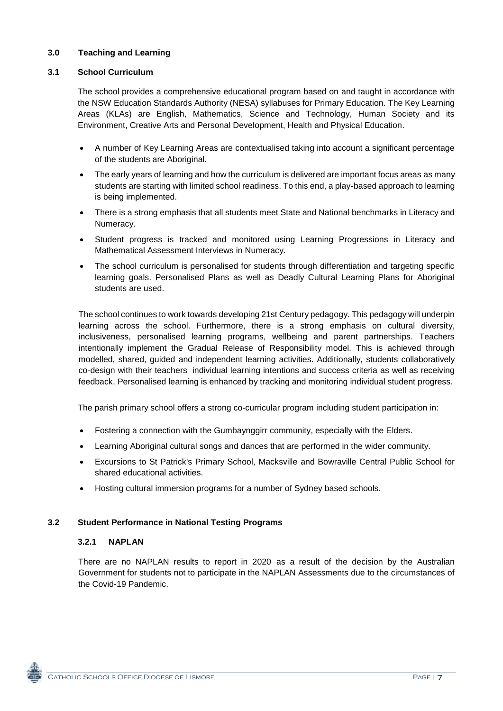# **3.0 Teaching and Learning**

# **3.1 School Curriculum**

The school provides a comprehensive educational program based on and taught in accordance with the NSW Education Standards Authority (NESA) syllabuses for Primary Education. The Key Learning Areas (KLAs) are English, Mathematics, Science and Technology, Human Society and its Environment, Creative Arts and Personal Development, Health and Physical Education.

- A number of Key Learning Areas are contextualised taking into account a significant percentage of the students are Aboriginal.
- The early years of learning and how the curriculum is delivered are important focus areas as many students are starting with limited school readiness. To this end, a play-based approach to learning is being implemented.
- There is a strong emphasis that all students meet State and National benchmarks in Literacy and Numeracy.
- Student progress is tracked and monitored using Learning Progressions in Literacy and Mathematical Assessment Interviews in Numeracy.
- The school curriculum is personalised for students through differentiation and targeting specific learning goals. Personalised Plans as well as Deadly Cultural Learning Plans for Aboriginal students are used.

The school continues to work towards developing 21st Century pedagogy. This pedagogy will underpin learning across the school. Furthermore, there is a strong emphasis on cultural diversity, inclusiveness, personalised learning programs, wellbeing and parent partnerships. Teachers intentionally implement the Gradual Release of Responsibility model. This is achieved through modelled, shared, guided and independent learning activities. Additionally, students collaboratively co-design with their teachers individual learning intentions and success criteria as well as receiving feedback. Personalised learning is enhanced by tracking and monitoring individual student progress.

The parish primary school offers a strong co-curricular program including student participation in:

- Fostering a connection with the Gumbaynggirr community, especially with the Elders.
- Learning Aboriginal cultural songs and dances that are performed in the wider community.
- Excursions to St Patrick's Primary School, Macksville and Bowraville Central Public School for shared educational activities.
- Hosting cultural immersion programs for a number of Sydney based schools.

### **3.2 Student Performance in National Testing Programs**

### **3.2.1 NAPLAN**

There are no NAPLAN results to report in 2020 as a result of the decision by the Australian Government for students not to participate in the NAPLAN Assessments due to the circumstances of the Covid-19 Pandemic.

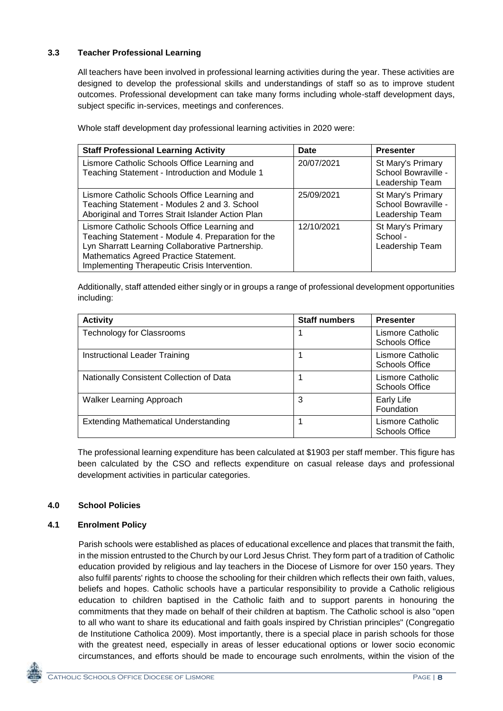# **3.3 Teacher Professional Learning**

All teachers have been involved in professional learning activities during the year. These activities are designed to develop the professional skills and understandings of staff so as to improve student outcomes. Professional development can take many forms including whole-staff development days, subject specific in-services, meetings and conferences.

| <b>Staff Professional Learning Activity</b>                                                                                                                                                                                                       | Date       | <b>Presenter</b>                                            |
|---------------------------------------------------------------------------------------------------------------------------------------------------------------------------------------------------------------------------------------------------|------------|-------------------------------------------------------------|
| Lismore Catholic Schools Office Learning and<br>Teaching Statement - Introduction and Module 1                                                                                                                                                    | 20/07/2021 | St Mary's Primary<br>School Bowraville -<br>Leadership Team |
| Lismore Catholic Schools Office Learning and<br>Teaching Statement - Modules 2 and 3. School<br>Aboriginal and Torres Strait Islander Action Plan                                                                                                 | 25/09/2021 | St Mary's Primary<br>School Bowraville -<br>Leadership Team |
| Lismore Catholic Schools Office Learning and<br>Teaching Statement - Module 4. Preparation for the<br>Lyn Sharratt Learning Collaborative Partnership.<br>Mathematics Agreed Practice Statement.<br>Implementing Therapeutic Crisis Intervention. | 12/10/2021 | St Mary's Primary<br>School -<br>Leadership Team            |

Whole staff development day professional learning activities in 2020 were:

Additionally, staff attended either singly or in groups a range of professional development opportunities including:

| <b>Activity</b>                             | <b>Staff numbers</b> | <b>Presenter</b>                          |
|---------------------------------------------|----------------------|-------------------------------------------|
| <b>Technology for Classrooms</b>            |                      | Lismore Catholic<br>Schools Office        |
| Instructional Leader Training               |                      | Lismore Catholic<br><b>Schools Office</b> |
| Nationally Consistent Collection of Data    |                      | Lismore Catholic<br>Schools Office        |
| Walker Learning Approach                    | 3                    | Early Life<br>Foundation                  |
| <b>Extending Mathematical Understanding</b> |                      | Lismore Catholic<br><b>Schools Office</b> |

The professional learning expenditure has been calculated at \$1903 per staff member. This figure has been calculated by the CSO and reflects expenditure on casual release days and professional development activities in particular categories.

# **4.0 School Policies**

# **4.1 Enrolment Policy**

Parish schools were established as places of educational excellence and places that transmit the faith, in the mission entrusted to the Church by our Lord Jesus Christ. They form part of a tradition of Catholic education provided by religious and lay teachers in the Diocese of Lismore for over 150 years. They also fulfil parents' rights to choose the schooling for their children which reflects their own faith, values, beliefs and hopes. Catholic schools have a particular responsibility to provide a Catholic religious education to children baptised in the Catholic faith and to support parents in honouring the commitments that they made on behalf of their children at baptism. The Catholic school is also "open to all who want to share its educational and faith goals inspired by Christian principles" (Congregatio de Institutione Catholica 2009). Most importantly, there is a special place in parish schools for those with the greatest need, especially in areas of lesser educational options or lower socio economic circumstances, and efforts should be made to encourage such enrolments, within the vision of the

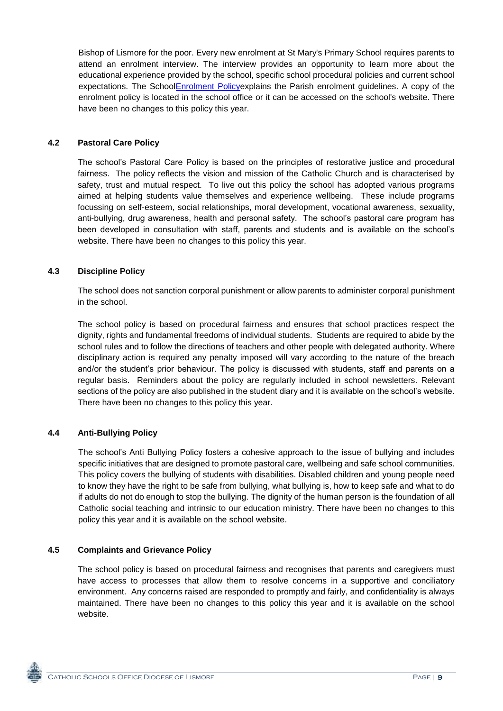Bishop of Lismore for the poor. Every new enrolment at St Mary's Primary School requires parents to attend an enrolment interview. The interview provides an opportunity to learn more about the educational experience provided by the school, specific school procedural policies and current school expectations. The Schoo[lEnrolment Policye](http://www.bwpplism.catholic.edu.au/wp-content/uploads/Enrolment-Policy-2008.pdf)xplains the Parish enrolment guidelines. A copy of the enrolment policy is located in the school office or it can be accessed on the school's website. There have been no changes to this policy this year.

# **4.2 Pastoral Care Policy**

The school's Pastoral Care Policy is based on the principles of restorative justice and procedural fairness. The policy reflects the vision and mission of the Catholic Church and is characterised by safety, trust and mutual respect. To live out this policy the school has adopted various programs aimed at helping students value themselves and experience wellbeing. These include programs focussing on self-esteem, social relationships, moral development, vocational awareness, sexuality, anti-bullying, drug awareness, health and personal safety. The school's pastoral care program has been developed in consultation with staff, parents and students and is available on the school's website. There have been no changes to this policy this year.

# **4.3 Discipline Policy**

The school does not sanction corporal punishment or allow parents to administer corporal punishment in the school.

The school policy is based on procedural fairness and ensures that school practices respect the dignity, rights and fundamental freedoms of individual students. Students are required to abide by the school rules and to follow the directions of teachers and other people with delegated authority. Where disciplinary action is required any penalty imposed will vary according to the nature of the breach and/or the student's prior behaviour. The policy is discussed with students, staff and parents on a regular basis. Reminders about the policy are regularly included in school newsletters. Relevant sections of the policy are also published in the student diary and it is available on the school's website. There have been no changes to this policy this year.

# **4.4 Anti-Bullying Policy**

The school's Anti Bullying Policy fosters a cohesive approach to the issue of bullying and includes specific initiatives that are designed to promote pastoral care, wellbeing and safe school communities. This policy covers the bullying of students with disabilities. Disabled children and young people need to know they have the right to be safe from bullying, what bullying is, how to keep safe and what to do if adults do not do enough to stop the bullying. The dignity of the human person is the foundation of all Catholic social teaching and intrinsic to our education ministry. There have been no changes to this policy this year and it is available on the school website.

### **4.5 Complaints and Grievance Policy**

The school policy is based on procedural fairness and recognises that parents and caregivers must have access to processes that allow them to resolve concerns in a supportive and conciliatory environment. Any concerns raised are responded to promptly and fairly, and confidentiality is always maintained. There have been no changes to this policy this year and it is available on the school website.

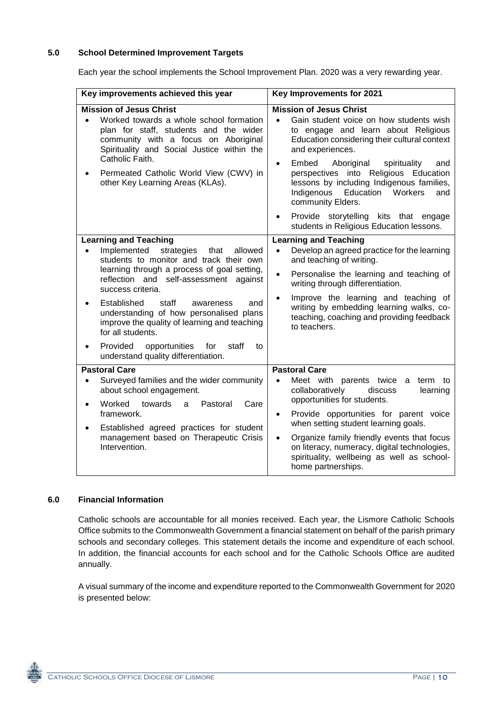### **5.0 School Determined Improvement Targets**

Each year the school implements the School Improvement Plan. 2020 was a very rewarding year.

| Key improvements achieved this year                                                                                                                                                                                                                                                                                                                                                                                                                                                                      | Key Improvements for 2021                                                                                                                                                                                                                                                                                                                                                                                                           |  |  |  |
|----------------------------------------------------------------------------------------------------------------------------------------------------------------------------------------------------------------------------------------------------------------------------------------------------------------------------------------------------------------------------------------------------------------------------------------------------------------------------------------------------------|-------------------------------------------------------------------------------------------------------------------------------------------------------------------------------------------------------------------------------------------------------------------------------------------------------------------------------------------------------------------------------------------------------------------------------------|--|--|--|
| <b>Mission of Jesus Christ</b><br>Worked towards a whole school formation<br>plan for staff, students and the wider<br>community with a focus on Aboriginal<br>Spirituality and Social Justice within the                                                                                                                                                                                                                                                                                                | <b>Mission of Jesus Christ</b><br>Gain student voice on how students wish<br>$\bullet$<br>to engage and learn about Religious<br>Education considering their cultural context<br>and experiences.                                                                                                                                                                                                                                   |  |  |  |
| Catholic Faith.<br>Permeated Catholic World View (CWV) in<br>other Key Learning Areas (KLAs).                                                                                                                                                                                                                                                                                                                                                                                                            | Embed<br>Aboriginal<br>spirituality<br>and<br>$\bullet$<br>perspectives into Religious Education<br>lessons by including Indigenous families,<br>Indigenous Education Workers<br>and<br>community Elders.                                                                                                                                                                                                                           |  |  |  |
|                                                                                                                                                                                                                                                                                                                                                                                                                                                                                                          | Provide storytelling kits that engage<br>$\bullet$<br>students in Religious Education lessons.                                                                                                                                                                                                                                                                                                                                      |  |  |  |
| <b>Learning and Teaching</b><br>Implemented<br>strategies<br>that<br>allowed<br>$\bullet$<br>students to monitor and track their own<br>learning through a process of goal setting,<br>reflection and self-assessment against<br>success criteria.<br>Established<br>staff<br>and<br>awareness<br>understanding of how personalised plans<br>improve the quality of learning and teaching<br>for all students.<br>Provided<br>opportunities<br>for<br>staff<br>to<br>understand quality differentiation. | <b>Learning and Teaching</b><br>Develop an agreed practice for the learning<br>$\bullet$<br>and teaching of writing.<br>Personalise the learning and teaching of<br>$\bullet$<br>writing through differentiation.<br>Improve the learning and teaching of<br>$\bullet$<br>writing by embedding learning walks, co-<br>teaching, coaching and providing feedback<br>to teachers.                                                     |  |  |  |
| <b>Pastoral Care</b><br>Surveyed families and the wider community<br>$\bullet$<br>about school engagement.<br>Worked<br>towards<br>Pastoral<br>Care<br>a<br>$\bullet$<br>framework.<br>Established agreed practices for student<br>management based on Therapeutic Crisis<br>Intervention.                                                                                                                                                                                                               | <b>Pastoral Care</b><br>Meet with parents twice a<br>$\bullet$<br>term<br>to<br>collaboratively<br>discuss<br>learning<br>opportunities for students.<br>Provide opportunities for parent voice<br>$\bullet$<br>when setting student learning goals.<br>Organize family friendly events that focus<br>$\bullet$<br>on literacy, numeracy, digital technologies,<br>spirituality, wellbeing as well as school-<br>home partnerships. |  |  |  |

### **6.0 Financial Information**

Catholic schools are accountable for all monies received. Each year, the Lismore Catholic Schools Office submits to the Commonwealth Government a financial statement on behalf of the parish primary schools and secondary colleges. This statement details the income and expenditure of each school. In addition, the financial accounts for each school and for the Catholic Schools Office are audited annually.

A visual summary of the income and expenditure reported to the Commonwealth Government for 2020 is presented below: